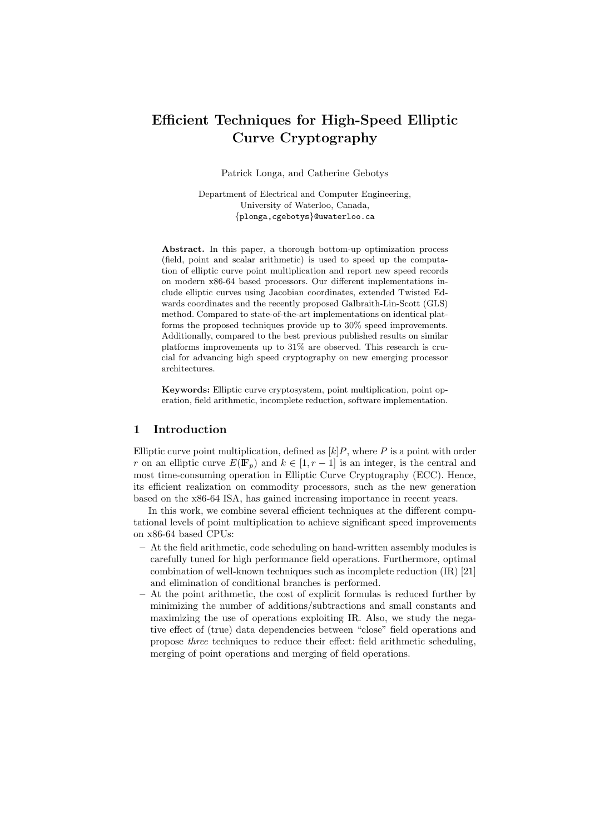# Efficient Techniques for High-Speed Elliptic Curve Cryptography

Patrick Longa, and Catherine Gebotys

Department of Electrical and Computer Engineering, University of Waterloo, Canada, {plonga,cgebotys}@uwaterloo.ca

Abstract. In this paper, a thorough bottom-up optimization process (field, point and scalar arithmetic) is used to speed up the computation of elliptic curve point multiplication and report new speed records on modern x86-64 based processors. Our different implementations include elliptic curves using Jacobian coordinates, extended Twisted Edwards coordinates and the recently proposed Galbraith-Lin-Scott (GLS) method. Compared to state-of-the-art implementations on identical platforms the proposed techniques provide up to 30% speed improvements. Additionally, compared to the best previous published results on similar platforms improvements up to 31% are observed. This research is crucial for advancing high speed cryptography on new emerging processor architectures.

Keywords: Elliptic curve cryptosystem, point multiplication, point operation, field arithmetic, incomplete reduction, software implementation.

# 1 Introduction

Elliptic curve point multiplication, defined as  $[k]P$ , where P is a point with order r on an elliptic curve  $E(\mathbb{F}_p)$  and  $k \in [1, r-1]$  is an integer, is the central and most time-consuming operation in Elliptic Curve Cryptography (ECC). Hence, its efficient realization on commodity processors, such as the new generation based on the x86-64 ISA, has gained increasing importance in recent years.

In this work, we combine several efficient techniques at the different computational levels of point multiplication to achieve significant speed improvements on x86-64 based CPUs:

- At the field arithmetic, code scheduling on hand-written assembly modules is carefully tuned for high performance field operations. Furthermore, optimal combination of well-known techniques such as incomplete reduction (IR) [21] and elimination of conditional branches is performed.
- At the point arithmetic, the cost of explicit formulas is reduced further by minimizing the number of additions/subtractions and small constants and maximizing the use of operations exploiting IR. Also, we study the negative effect of (true) data dependencies between "close" field operations and propose three techniques to reduce their effect: field arithmetic scheduling, merging of point operations and merging of field operations.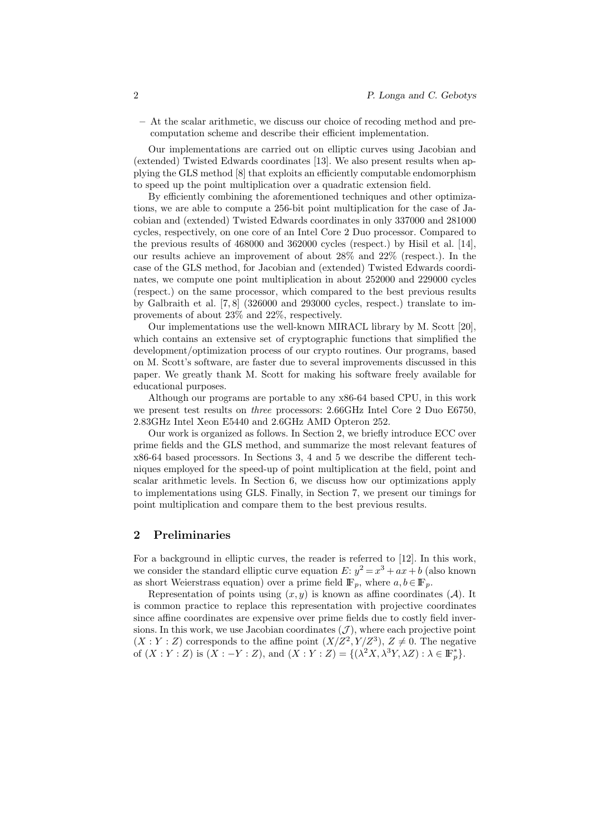– At the scalar arithmetic, we discuss our choice of recoding method and precomputation scheme and describe their efficient implementation.

Our implementations are carried out on elliptic curves using Jacobian and (extended) Twisted Edwards coordinates [13]. We also present results when applying the GLS method [8] that exploits an efficiently computable endomorphism to speed up the point multiplication over a quadratic extension field.

By efficiently combining the aforementioned techniques and other optimizations, we are able to compute a 256-bit point multiplication for the case of Jacobian and (extended) Twisted Edwards coordinates in only 337000 and 281000 cycles, respectively, on one core of an Intel Core 2 Duo processor. Compared to the previous results of 468000 and 362000 cycles (respect.) by Hisil et al. [14], our results achieve an improvement of about 28% and 22% (respect.). In the case of the GLS method, for Jacobian and (extended) Twisted Edwards coordinates, we compute one point multiplication in about 252000 and 229000 cycles (respect.) on the same processor, which compared to the best previous results by Galbraith et al. [7, 8] (326000 and 293000 cycles, respect.) translate to improvements of about 23% and 22%, respectively.

Our implementations use the well-known MIRACL library by M. Scott [20], which contains an extensive set of cryptographic functions that simplified the development/optimization process of our crypto routines. Our programs, based on M. Scott's software, are faster due to several improvements discussed in this paper. We greatly thank M. Scott for making his software freely available for educational purposes.

Although our programs are portable to any x86-64 based CPU, in this work we present test results on three processors: 2.66GHz Intel Core 2 Duo E6750, 2.83GHz Intel Xeon E5440 and 2.6GHz AMD Opteron 252.

Our work is organized as follows. In Section 2, we briefly introduce ECC over prime fields and the GLS method, and summarize the most relevant features of x86-64 based processors. In Sections 3, 4 and 5 we describe the different techniques employed for the speed-up of point multiplication at the field, point and scalar arithmetic levels. In Section 6, we discuss how our optimizations apply to implementations using GLS. Finally, in Section 7, we present our timings for point multiplication and compare them to the best previous results.

# 2 Preliminaries

For a background in elliptic curves, the reader is referred to [12]. In this work, we consider the standard elliptic curve equation  $E: y^2 = x^3 + ax + b$  (also known as short Weierstrass equation) over a prime field  $\mathbb{F}_p$ , where  $a, b \in \mathbb{F}_p$ .

Representation of points using  $(x, y)$  is known as affine coordinates  $(A)$ . It is common practice to replace this representation with projective coordinates since affine coordinates are expensive over prime fields due to costly field inversions. In this work, we use Jacobian coordinates  $(\mathcal{J})$ , where each projective point  $(X:Y:Z)$  corresponds to the affine point  $(X/Z<sup>2</sup>, Y/Z<sup>3</sup>)$ ,  $Z \neq 0$ . The negative of  $(X:Y:Z)$  is  $(X:-Y:Z)$ , and  $(X:Y:Z) = \{(\lambda^2 X, \lambda^3 Y, \lambda Z) : \lambda \in \mathbb{F}_p^*\}.$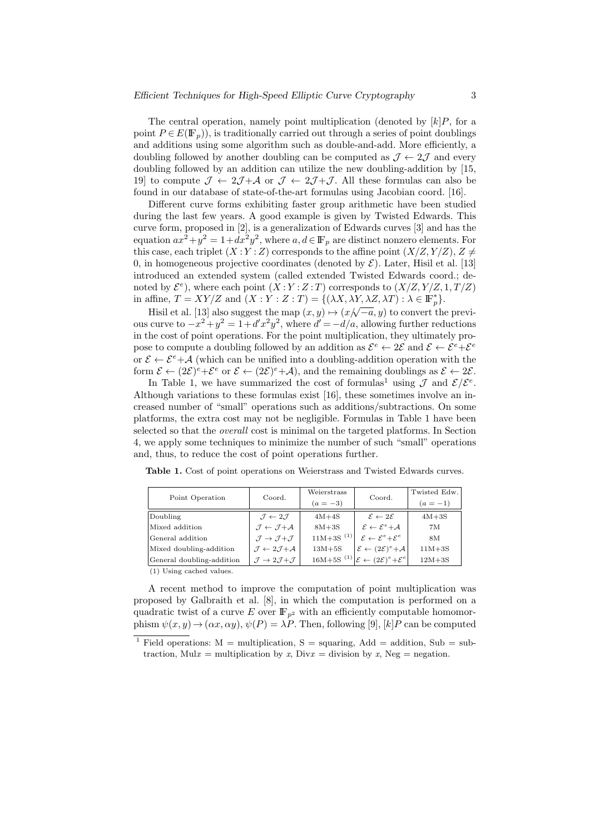The central operation, namely point multiplication (denoted by  $[k]P$ , for a point  $P \in E(\mathbb{F}_p)$ , is traditionally carried out through a series of point doublings and additions using some algorithm such as double-and-add. More efficiently, a doubling followed by another doubling can be computed as  $\mathcal{J} \leftarrow 2\mathcal{J}$  and every doubling followed by an addition can utilize the new doubling-addition by [15, 19] to compute  $\mathcal{J} \leftarrow 2\mathcal{J} + \mathcal{A}$  or  $\mathcal{J} \leftarrow 2\mathcal{J} + \mathcal{J}$ . All these formulas can also be found in our database of state-of-the-art formulas using Jacobian coord. [16].

Different curve forms exhibiting faster group arithmetic have been studied during the last few years. A good example is given by Twisted Edwards. This curve form, proposed in [2], is a generalization of Edwards curves [3] and has the equation  $ax^2 + y^2 = 1 + dx^2y^2$ , where  $a, d \in \mathbb{F}_p$  are distinct nonzero elements. For this case, each triplet  $(X:Y:Z)$  corresponds to the affine point  $(X/Z, Y/Z), Z \neq$ 0, in homogeneous projective coordinates (denoted by  $\mathcal{E}$ ). Later, Hisil et al. [13] introduced an extended system (called extended Twisted Edwards coord.; denoted by  $\mathcal{E}^e$ ), where each point  $(X:Y:Z:T)$  corresponds to  $(X/Z, Y/Z, 1, T/Z)$ in affine,  $T = XY/Z$  and  $(X:Y:Z:T) = \{(\lambda X, \lambda Y, \lambda Z, \lambda T) : \lambda \in \mathbb{F}_p^*\}.$ 

Hisil et al. [13] also suggest the map  $(x, y) \mapsto (x/\sqrt{-a}, y)$  to convert the previous curve to  $-x^2 + y^2 = 1 + d'x^2y^2$ , where  $d' = -d/a$ , allowing further reductions in the cost of point operations. For the point multiplication, they ultimately propose to compute a doubling followed by an addition as  $\mathcal{E}^e \leftarrow 2\mathcal{E}$  and  $\mathcal{E} \leftarrow \mathcal{E}^e + \mathcal{E}^e$ or  $\mathcal{E} \leftarrow \mathcal{E}^e + \mathcal{A}$  (which can be unified into a doubling-addition operation with the form  $\mathcal{E} \leftarrow (2\mathcal{E})^e + \mathcal{E}^e$  or  $\mathcal{E} \leftarrow (2\mathcal{E})^e + \mathcal{A}$ , and the remaining doublings as  $\mathcal{E} \leftarrow 2\mathcal{E}$ .

In Table 1, we have summarized the cost of formulas<sup>1</sup> using  $\mathcal J$  and  $\mathcal E/\mathcal E^e$ . Although variations to these formulas exist [16], these sometimes involve an increased number of "small" operations such as additions/subtractions. On some platforms, the extra cost may not be negligible. Formulas in Table 1 have been selected so that the overall cost is minimal on the targeted platforms. In Section 4, we apply some techniques to minimize the number of such "small" operations and, thus, to reduce the cost of point operations further.

|  | Point Operation           | Coord.                                               | Weierstrass             | Coord.                                                              | Twisted Edw. |
|--|---------------------------|------------------------------------------------------|-------------------------|---------------------------------------------------------------------|--------------|
|  |                           |                                                      | $(a = -3)$              |                                                                     | $(a = -1)$   |
|  | Doubling                  | $\mathcal{I} \leftarrow 2\mathcal{I}$                | $4M+4S$                 | $\mathcal{E} \leftarrow 2\mathcal{E}$                               | $4M+3S$      |
|  | Mixed addition            | $\mathcal{I} \leftarrow \mathcal{I} + \mathcal{A}$   | $8M+3S$                 | $\mathcal{E} \leftarrow \mathcal{E}^e + A$                          | 7M           |
|  | General addition          | $\mathcal{J} \rightarrow \mathcal{J} + \mathcal{J}$  | $11M+3S$ <sup>(1)</sup> | $\mathcal{E} \leftarrow \mathcal{E}^e + \mathcal{E}^e$              | 8M           |
|  | Mixed doubling-addition   | $\mathcal{J} \leftarrow 2\mathcal{J} + \mathcal{A}$  | $13M+5S$                | $\mathcal{E} \leftarrow (2\mathcal{E})^e + \mathcal{A}$             | $11M+3S$     |
|  | General doubling-addition | $\mathcal{J} \rightarrow 2\mathcal{J} + \mathcal{J}$ |                         | $16M+5S^{(1)}\mathcal{E} \leftarrow (2\mathcal{E})^e+\mathcal{E}^e$ | $12M+3S$     |
|  | (1) Using cached values.  |                                                      |                         |                                                                     |              |

Table 1. Cost of point operations on Weierstrass and Twisted Edwards curves.

A recent method to improve the computation of point multiplication was proposed by Galbraith et al. [8], in which the computation is performed on a quadratic twist of a curve E over  $\mathbb{F}_{p^2}$  with an efficiently computable homomorphism  $\psi(x, y) \to (\alpha x, \alpha y)$ ,  $\psi(P) = \lambda P$ . Then, following [9], [k] P can be computed

<sup>&</sup>lt;sup>1</sup> Field operations:  $M =$  multiplication, S = squaring, Add = addition, Sub = subtraction, Mul $x =$  multiplication by x, Div $x =$  division by x, Neg = negation.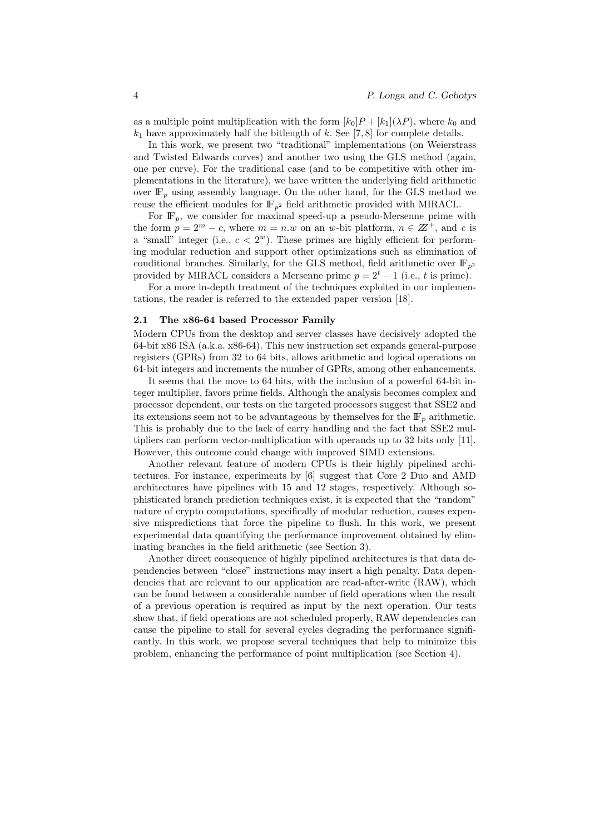as a multiple point multiplication with the form  $[k_0]P + [k_1](\lambda P)$ , where  $k_0$  and  $k_1$  have approximately half the bitlength of k. See [7, 8] for complete details.

In this work, we present two "traditional" implementations (on Weierstrass and Twisted Edwards curves) and another two using the GLS method (again, one per curve). For the traditional case (and to be competitive with other implementations in the literature), we have written the underlying field arithmetic over  $\mathbb{F}_p$  using assembly language. On the other hand, for the GLS method we reuse the efficient modules for  $\mathbb{F}_{p^2}$  field arithmetic provided with MIRACL.

For  $\mathbb{F}_n$ , we consider for maximal speed-up a pseudo-Mersenne prime with the form  $p = 2^m - c$ , where  $m = n \omega$  on an w-bit platform,  $n \in \mathbb{Z}^+$ , and c is a "small" integer (i.e.,  $c < 2<sup>w</sup>$ ). These primes are highly efficient for performing modular reduction and support other optimizations such as elimination of conditional branches. Similarly, for the GLS method, field arithmetic over  $\mathbb{F}_{n^2}$ provided by MIRACL considers a Mersenne prime  $p = 2^t - 1$  (i.e., t is prime).

For a more in-depth treatment of the techniques exploited in our implementations, the reader is referred to the extended paper version [18].

#### 2.1 The x86-64 based Processor Family

Modern CPUs from the desktop and server classes have decisively adopted the 64-bit x86 ISA (a.k.a. x86-64). This new instruction set expands general-purpose registers (GPRs) from 32 to 64 bits, allows arithmetic and logical operations on 64-bit integers and increments the number of GPRs, among other enhancements.

It seems that the move to 64 bits, with the inclusion of a powerful 64-bit integer multiplier, favors prime fields. Although the analysis becomes complex and processor dependent, our tests on the targeted processors suggest that SSE2 and its extensions seem not to be advantageous by themselves for the  $\mathbb{F}_p$  arithmetic. This is probably due to the lack of carry handling and the fact that SSE2 multipliers can perform vector-multiplication with operands up to 32 bits only [11]. However, this outcome could change with improved SIMD extensions.

Another relevant feature of modern CPUs is their highly pipelined architectures. For instance, experiments by [6] suggest that Core 2 Duo and AMD architectures have pipelines with 15 and 12 stages, respectively. Although sophisticated branch prediction techniques exist, it is expected that the "random" nature of crypto computations, specifically of modular reduction, causes expensive mispredictions that force the pipeline to flush. In this work, we present experimental data quantifying the performance improvement obtained by eliminating branches in the field arithmetic (see Section 3).

Another direct consequence of highly pipelined architectures is that data dependencies between "close" instructions may insert a high penalty. Data dependencies that are relevant to our application are read-after-write (RAW), which can be found between a considerable number of field operations when the result of a previous operation is required as input by the next operation. Our tests show that, if field operations are not scheduled properly, RAW dependencies can cause the pipeline to stall for several cycles degrading the performance significantly. In this work, we propose several techniques that help to minimize this problem, enhancing the performance of point multiplication (see Section 4).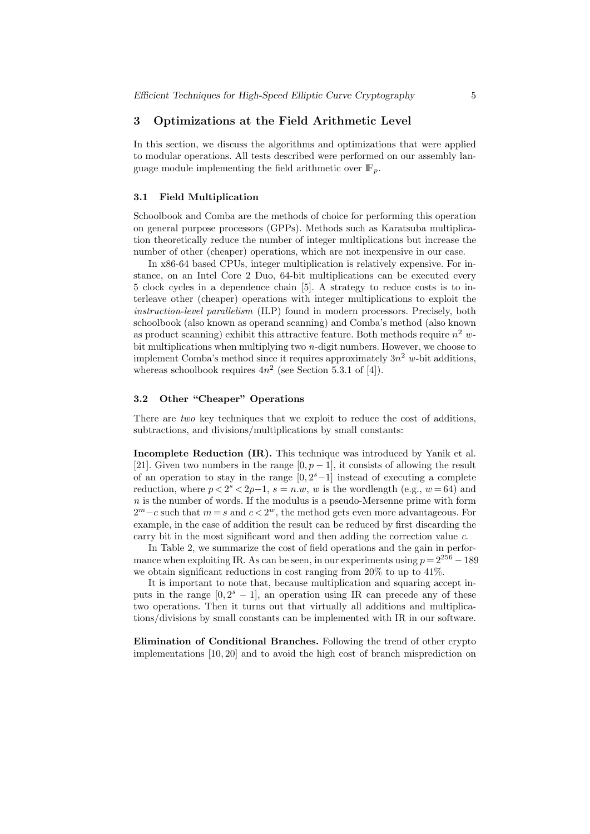#### 3 Optimizations at the Field Arithmetic Level

In this section, we discuss the algorithms and optimizations that were applied to modular operations. All tests described were performed on our assembly language module implementing the field arithmetic over  $\mathbb{F}_p$ .

### 3.1 Field Multiplication

Schoolbook and Comba are the methods of choice for performing this operation on general purpose processors (GPPs). Methods such as Karatsuba multiplication theoretically reduce the number of integer multiplications but increase the number of other (cheaper) operations, which are not inexpensive in our case.

In x86-64 based CPUs, integer multiplication is relatively expensive. For instance, on an Intel Core 2 Duo, 64-bit multiplications can be executed every 5 clock cycles in a dependence chain [5]. A strategy to reduce costs is to interleave other (cheaper) operations with integer multiplications to exploit the instruction-level parallelism (ILP) found in modern processors. Precisely, both schoolbook (also known as operand scanning) and Comba's method (also known as product scanning) exhibit this attractive feature. Both methods require  $n^2$  wbit multiplications when multiplying two  $n$ -digit numbers. However, we choose to implement Comba's method since it requires approximately  $3n^2$  w-bit additions, whereas schoolbook requires  $4n^2$  (see Section 5.3.1 of [4]).

# 3.2 Other "Cheaper" Operations

There are two key techniques that we exploit to reduce the cost of additions, subtractions, and divisions/multiplications by small constants:

Incomplete Reduction (IR). This technique was introduced by Yanik et al. [21]. Given two numbers in the range  $[0, p-1]$ , it consists of allowing the result of an operation to stay in the range  $[0, 2<sup>s</sup> - 1]$  instead of executing a complete reduction, where  $p < 2<sup>s</sup> < 2p-1$ ,  $s = n.w$ , w is the wordlength (e.g.,  $w = 64$ ) and  $n$  is the number of words. If the modulus is a pseudo-Mersenne prime with form  $2^m - c$  such that  $m = s$  and  $c < 2^w$ , the method gets even more advantageous. For example, in the case of addition the result can be reduced by first discarding the carry bit in the most significant word and then adding the correction value c.

In Table 2, we summarize the cost of field operations and the gain in performance when exploiting IR. As can be seen, in our experiments using  $p = 2^{256} - 189$ we obtain significant reductions in cost ranging from  $20\%$  to up to  $41\%$ .

It is important to note that, because multiplication and squaring accept inputs in the range  $[0, 2<sup>s</sup> - 1]$ , an operation using IR can precede any of these two operations. Then it turns out that virtually all additions and multiplications/divisions by small constants can be implemented with IR in our software.

Elimination of Conditional Branches. Following the trend of other crypto implementations [10, 20] and to avoid the high cost of branch misprediction on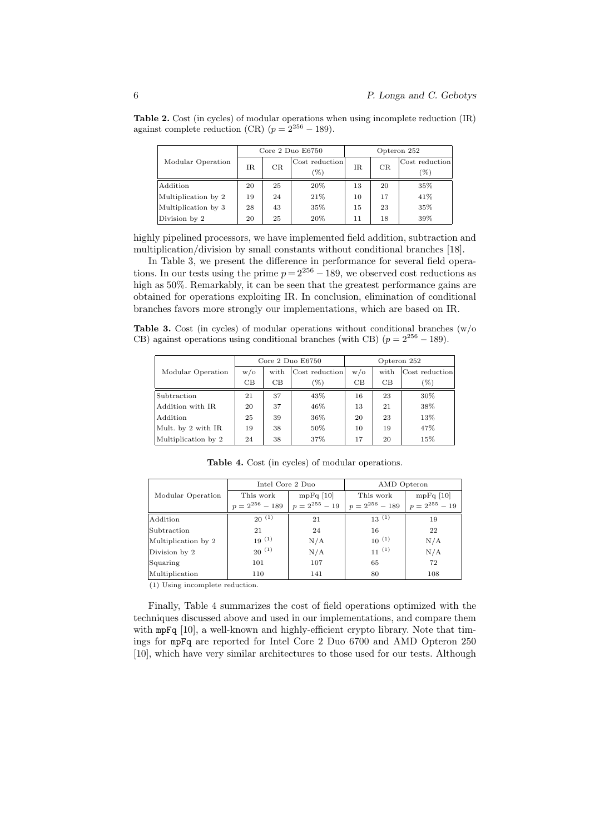Table 2. Cost (in cycles) of modular operations when using incomplete reduction (IR) against complete reduction (CR)  $(p = 2^{256} - 189)$ .

|                     |     |    | Core $2$ Duo $E6750$  |    |    | Opteron 252            |  |
|---------------------|-----|----|-----------------------|----|----|------------------------|--|
| Modular Operation   | IR. | CR | Cost reduction<br>(%) | IR | CR | Cost reduction<br>$\%$ |  |
| Addition            | 20  | 25 | 20%                   | 13 | 20 | 35%                    |  |
| Multiplication by 2 | 19  | 24 | 21%                   | 10 | 17 | 41\%                   |  |
| Multiplication by 3 | 28  | 43 | 35%                   | 15 | 23 | 35%                    |  |
| Division by 2       | 20  | 25 | 20%                   | 11 | 18 | 39%                    |  |

highly pipelined processors, we have implemented field addition, subtraction and multiplication/division by small constants without conditional branches [18].

In Table 3, we present the difference in performance for several field operations. In our tests using the prime  $p = 2^{256} - 189$ , we observed cost reductions as high as  $50\%$ . Remarkably, it can be seen that the greatest performance gains are obtained for operations exploiting IR. In conclusion, elimination of conditional branches favors more strongly our implementations, which are based on IR.

**Table 3.** Cost (in cycles) of modular operations without conditional branches  $(w/\text{o})$ CB) against operations using conditional branches (with CB) ( $p = 2^{256} - 189$ ).

|                     | Core $2$ Duo $E6750$ |      |                | Opteron 252 |      |                |
|---------------------|----------------------|------|----------------|-------------|------|----------------|
| Modular Operation   | $w/\sigma$           | with | Cost reduction | $w/\sigma$  | with | Cost reduction |
|                     | CB                   | CB   | $(\%)$         | CB          | CВ   | $(\%)$         |
| Subtraction         | 21                   | 37   | 43%            | 16          | 23   | 30%            |
| Addition with IR    | 20                   | 37   | 46%            | 13          | 21   | 38%            |
| Addition            | 25                   | 39   | 36%            | 20          | 23   | 13%            |
| Mult. by 2 with IR  | 19                   | 38   | 50%            | 10          | 19   | 47%            |
| Multiplication by 2 | 24                   | 38   | 37%            | 17          | 20   | 15%            |

|                     | Intel Core 2 Duo    |                    | AMD Opteron         |                    |  |
|---------------------|---------------------|--------------------|---------------------|--------------------|--|
| Modular Operation   | This work           | $mpFq$ [10]        | This work           | $mpFq$ [10]        |  |
|                     | $p = 2^{256} - 189$ | $p = 2^{255} - 19$ | $p = 2^{256} - 189$ | $p = 2^{255} - 19$ |  |
| Addition            | $20^{(1)}$          | 21                 | $13^{(1)}$          | 19                 |  |
| Subtraction         | 21                  | 24                 | 16                  | 22                 |  |
| Multiplication by 2 | $19^{(1)}$          | N/A                | $10^{(1)}$          | N/A                |  |
| Division by 2       | $20^{(1)}$          | N/A                | $11^{(1)}$          | N/A                |  |
| Squaring            | 101                 | 107                | 65                  | 72                 |  |
| Multiplication      | 110                 | 141                | 80                  | 108                |  |

Table 4. Cost (in cycles) of modular operations.

(1) Using incomplete reduction.

Finally, Table 4 summarizes the cost of field operations optimized with the techniques discussed above and used in our implementations, and compare them with mpFq [10], a well-known and highly-efficient crypto library. Note that timings for mpFq are reported for Intel Core 2 Duo 6700 and AMD Opteron 250 [10], which have very similar architectures to those used for our tests. Although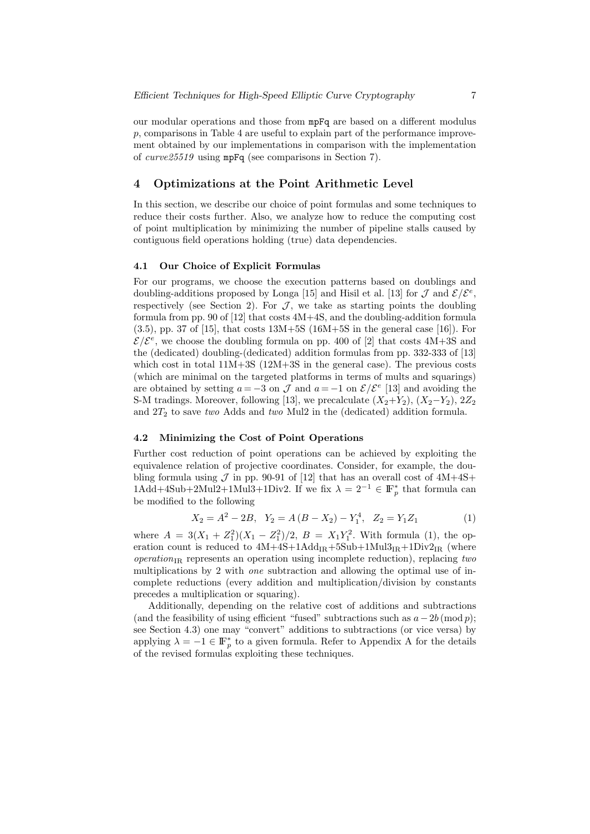our modular operations and those from mpFq are based on a different modulus p, comparisons in Table 4 are useful to explain part of the performance improvement obtained by our implementations in comparison with the implementation of curve25519 using mpFq (see comparisons in Section 7).

# 4 Optimizations at the Point Arithmetic Level

In this section, we describe our choice of point formulas and some techniques to reduce their costs further. Also, we analyze how to reduce the computing cost of point multiplication by minimizing the number of pipeline stalls caused by contiguous field operations holding (true) data dependencies.

#### 4.1 Our Choice of Explicit Formulas

For our programs, we choose the execution patterns based on doublings and doubling-additions proposed by Longa [15] and Hisil et al. [13] for  $\mathcal J$  and  $\mathcal E/\mathcal E^e$ , respectively (see Section 2). For  $J$ , we take as starting points the doubling formula from pp. 90 of [12] that costs 4M+4S, and the doubling-addition formula  $(3.5)$ , pp. 37 of [15], that costs  $13M+5S$  (16M+5S in the general case [16]). For  $\mathcal{E}/\mathcal{E}^e$ , we choose the doubling formula on pp. 400 of [2] that costs 4M+3S and the (dedicated) doubling-(dedicated) addition formulas from pp. 332-333 of [13] which cost in total  $11M+3S$  ( $12M+3S$  in the general case). The previous costs (which are minimal on the targeted platforms in terms of mults and squarings) are obtained by setting  $a = -3$  on  $\mathcal J$  and  $a = -1$  on  $\mathcal E/\mathcal E^e$  [13] and avoiding the S-M tradings. Moreover, following [13], we precalculate  $(X_2+Y_2)$ ,  $(X_2-Y_2)$ ,  $2Z_2$ and  $2T_2$  to save two Adds and two Mul2 in the (dedicated) addition formula.

#### 4.2 Minimizing the Cost of Point Operations

Further cost reduction of point operations can be achieved by exploiting the equivalence relation of projective coordinates. Consider, for example, the doubling formula using  $\mathcal J$  in pp. 90-91 of [12] that has an overall cost of  $4M+4S+$ 1Add+4Sub+2Mul2+1Mul3+1Div2. If we fix  $\lambda = 2^{-1} \in \mathbb{F}_p^*$  that formula can be modified to the following

$$
X_2 = A^2 - 2B, \quad Y_2 = A(B - X_2) - Y_1^4, \quad Z_2 = Y_1 Z_1 \tag{1}
$$

where  $A = 3(X_1 + Z_1^2)(X_1 - Z_1^2)/2$ ,  $B = X_1Y_1^2$ . With formula (1), the operation count is reduced to  $4M+4S+1Add_{IR}+5Sub+1Mul3_{IR}+1Div_{IR}$  (where  $operation_{IR}$  represents an operation using incomplete reduction), replacing two multiplications by 2 with one subtraction and allowing the optimal use of incomplete reductions (every addition and multiplication/division by constants precedes a multiplication or squaring).

Additionally, depending on the relative cost of additions and subtractions (and the feasibility of using efficient "fused" subtractions such as  $a-2b \pmod{p}$ ; see Section 4.3) one may "convert" additions to subtractions (or vice versa) by applying  $\lambda = -1 \in \mathbb{F}_p^*$  to a given formula. Refer to Appendix A for the details of the revised formulas exploiting these techniques.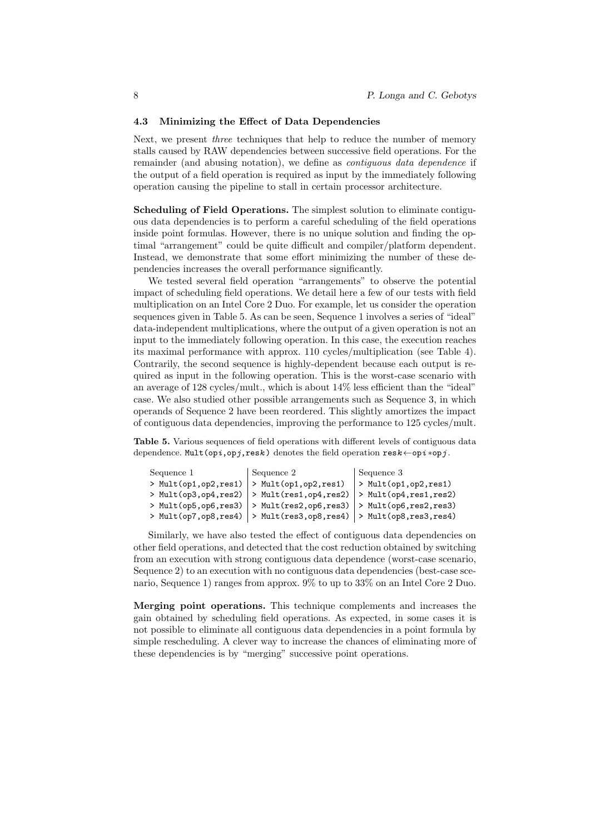#### 4.3 Minimizing the Effect of Data Dependencies

Next, we present three techniques that help to reduce the number of memory stalls caused by RAW dependencies between successive field operations. For the remainder (and abusing notation), we define as *contiguous data dependence* if the output of a field operation is required as input by the immediately following operation causing the pipeline to stall in certain processor architecture.

Scheduling of Field Operations. The simplest solution to eliminate contiguous data dependencies is to perform a careful scheduling of the field operations inside point formulas. However, there is no unique solution and finding the optimal "arrangement" could be quite difficult and compiler/platform dependent. Instead, we demonstrate that some effort minimizing the number of these dependencies increases the overall performance significantly.

We tested several field operation "arrangements" to observe the potential impact of scheduling field operations. We detail here a few of our tests with field multiplication on an Intel Core 2 Duo. For example, let us consider the operation sequences given in Table 5. As can be seen, Sequence 1 involves a series of "ideal" data-independent multiplications, where the output of a given operation is not an input to the immediately following operation. In this case, the execution reaches its maximal performance with approx. 110 cycles/multiplication (see Table 4). Contrarily, the second sequence is highly-dependent because each output is required as input in the following operation. This is the worst-case scenario with an average of 128 cycles/mult., which is about 14% less efficient than the "ideal" case. We also studied other possible arrangements such as Sequence 3, in which operands of Sequence 2 have been reordered. This slightly amortizes the impact of contiguous data dependencies, improving the performance to 125 cycles/mult.

Table 5. Various sequences of field operations with different levels of contiguous data dependence. Mult(opi,opj,resk) denotes the field operation  $\text{res}k \leftarrow \text{op}i * \text{op}j$ .

```
Sequence 1 Sequence 2 Sequence 3
> Mult(op1.op2.res1) |> Mult(op1.op2.res1) |> Mult(op1.op2.res1)
> Mult(op3,op4,res2) |> Mult(res1,op4,res2) |> Mult(op4,res1,res2)
> Mult(op5,op6,res3) > Mult(res2,op6,res3) > Mult(op6,res2,res3)
> Mult(op7,op8,res4) > Mult(res3,op8,res4) > Mult(op8,res3,res4)
```
Similarly, we have also tested the effect of contiguous data dependencies on other field operations, and detected that the cost reduction obtained by switching from an execution with strong contiguous data dependence (worst-case scenario, Sequence 2) to an execution with no contiguous data dependencies (best-case scenario, Sequence 1) ranges from approx. 9% to up to 33% on an Intel Core 2 Duo.

Merging point operations. This technique complements and increases the gain obtained by scheduling field operations. As expected, in some cases it is not possible to eliminate all contiguous data dependencies in a point formula by simple rescheduling. A clever way to increase the chances of eliminating more of these dependencies is by "merging" successive point operations.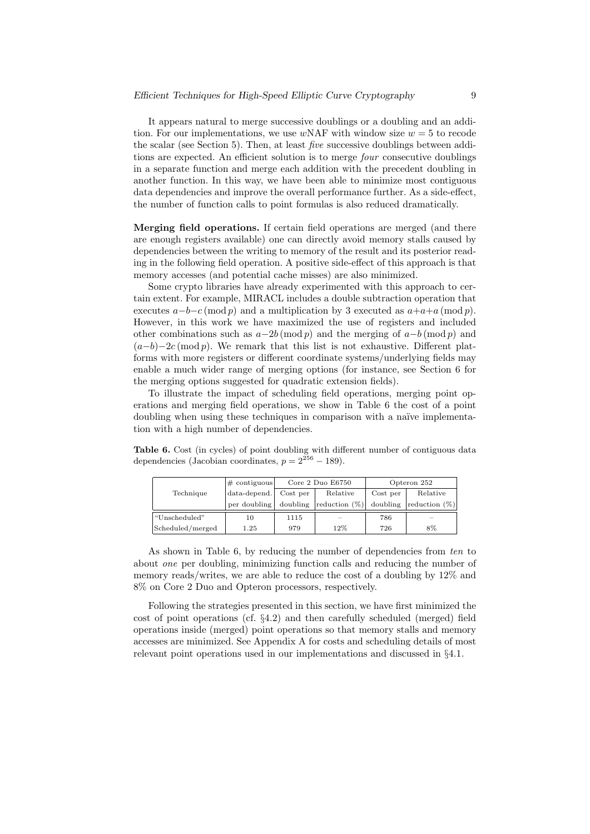It appears natural to merge successive doublings or a doubling and an addition. For our implementations, we use  $wNAF$  with window size  $w = 5$  to recode the scalar (see Section 5). Then, at least five successive doublings between additions are expected. An efficient solution is to merge *four* consecutive doublings in a separate function and merge each addition with the precedent doubling in another function. In this way, we have been able to minimize most contiguous data dependencies and improve the overall performance further. As a side-effect, the number of function calls to point formulas is also reduced dramatically.

Merging field operations. If certain field operations are merged (and there are enough registers available) one can directly avoid memory stalls caused by dependencies between the writing to memory of the result and its posterior reading in the following field operation. A positive side-effect of this approach is that memory accesses (and potential cache misses) are also minimized.

Some crypto libraries have already experimented with this approach to certain extent. For example, MIRACL includes a double subtraction operation that executes  $a-b-c \pmod{p}$  and a multiplication by 3 executed as  $a+a+a \pmod{p}$ . However, in this work we have maximized the use of registers and included other combinations such as  $a-2b \pmod{p}$  and the merging of  $a-b \pmod{p}$  and  $(a-b)-2c \pmod{p}$ . We remark that this list is not exhaustive. Different platforms with more registers or different coordinate systems/underlying fields may enable a much wider range of merging options (for instance, see Section 6 for the merging options suggested for quadratic extension fields).

To illustrate the impact of scheduling field operations, merging point operations and merging field operations, we show in Table 6 the cost of a point doubling when using these techniques in comparison with a naïve implementation with a high number of dependencies.

Table 6. Cost (in cycles) of point doubling with different number of contiguous data dependencies (Jacobian coordinates,  $p = 2^{256} - 189$ ).

|                  | $\#$ contiguous    | Core 2 Duo E6750 |                  | Opteron 252 |                         |
|------------------|--------------------|------------------|------------------|-------------|-------------------------|
| Technique        | $data-dependent$ . | Cost per         | Relative         | Cost per    | Relative                |
|                  | per doubling       | doubling         | reduction $(\%)$ | doubling    | $ {\rm reduction}(\%) $ |
| "Unscheduled"    | 10                 | 1115             | $\sim$           | 786         | <b>STATE</b>            |
| Scheduled/merged | 1.25               | 979              | 12%              | 726         | 8%                      |

As shown in Table 6, by reducing the number of dependencies from ten to about one per doubling, minimizing function calls and reducing the number of memory reads/writes, we are able to reduce the cost of a doubling by 12% and 8% on Core 2 Duo and Opteron processors, respectively.

Following the strategies presented in this section, we have first minimized the cost of point operations (cf. §4.2) and then carefully scheduled (merged) field operations inside (merged) point operations so that memory stalls and memory accesses are minimized. See Appendix A for costs and scheduling details of most relevant point operations used in our implementations and discussed in §4.1.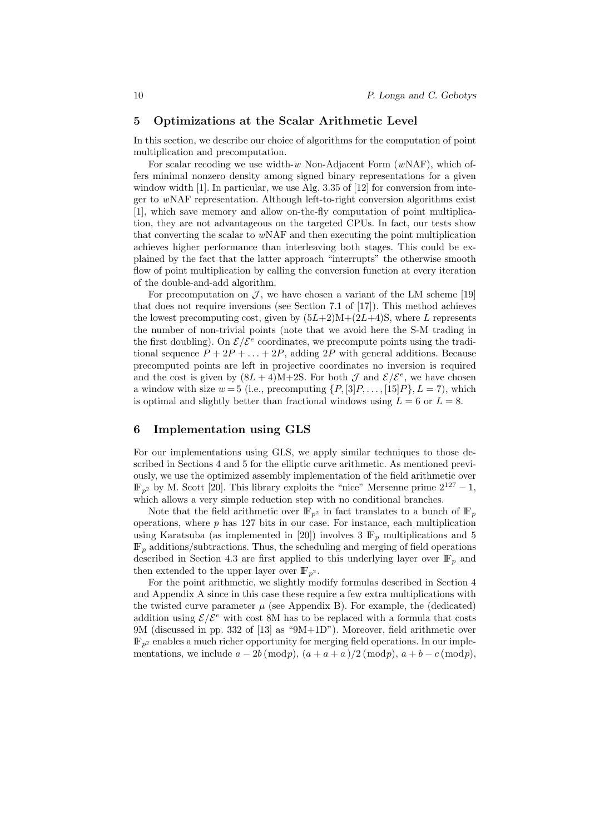# 5 Optimizations at the Scalar Arithmetic Level

In this section, we describe our choice of algorithms for the computation of point multiplication and precomputation.

For scalar recoding we use width- $w$  Non-Adjacent Form  $(wNAF)$ , which offers minimal nonzero density among signed binary representations for a given window width [1]. In particular, we use Alg. 3.35 of [12] for conversion from integer to wNAF representation. Although left-to-right conversion algorithms exist [1], which save memory and allow on-the-fly computation of point multiplication, they are not advantageous on the targeted CPUs. In fact, our tests show that converting the scalar to  $w<sub>N</sub>AF$  and then executing the point multiplication achieves higher performance than interleaving both stages. This could be explained by the fact that the latter approach "interrupts" the otherwise smooth flow of point multiplication by calling the conversion function at every iteration of the double-and-add algorithm.

For precomputation on  $\mathcal{J}$ , we have chosen a variant of the LM scheme [19] that does not require inversions (see Section 7.1 of [17]). This method achieves the lowest precomputing cost, given by  $(5L+2)M+(2L+4)S$ , where L represents the number of non-trivial points (note that we avoid here the S-M trading in the first doubling). On  $\mathcal{E}/\mathcal{E}^e$  coordinates, we precompute points using the traditional sequence  $P + 2P + \ldots + 2P$ , adding  $2P$  with general additions. Because precomputed points are left in projective coordinates no inversion is required and the cost is given by  $(8L+4)M+2S$ . For both  $\mathcal J$  and  $\mathcal E/\mathcal E^e$ , we have chosen a window with size  $w = 5$  (i.e., precomputing  $\{P, [3]P, \ldots, [15]P\}, L = 7$ ), which is optimal and slightly better than fractional windows using  $L = 6$  or  $L = 8$ .

# 6 Implementation using GLS

For our implementations using GLS, we apply similar techniques to those described in Sections 4 and 5 for the elliptic curve arithmetic. As mentioned previously, we use the optimized assembly implementation of the field arithmetic over  $\mathbb{F}_{p^2}$  by M. Scott [20]. This library exploits the "nice" Mersenne prime  $2^{127} - 1$ , which allows a very simple reduction step with no conditional branches.

Note that the field arithmetic over  $\mathbb{F}_{p^2}$  in fact translates to a bunch of  $\mathbb{F}_p$ operations, where  $p$  has 127 bits in our case. For instance, each multiplication using Karatsuba (as implemented in [20]) involves 3  $\mathbb{F}_p$  multiplications and 5  $\mathbb{F}_p$  additions/subtractions. Thus, the scheduling and merging of field operations described in Section 4.3 are first applied to this underlying layer over  $\mathbb{F}_p$  and then extended to the upper layer over  $\mathbb{F}_{n^2}$ .

For the point arithmetic, we slightly modify formulas described in Section 4 and Appendix A since in this case these require a few extra multiplications with the twisted curve parameter  $\mu$  (see Appendix B). For example, the (dedicated) addition using  $\mathcal{E}/\mathcal{E}^e$  with cost 8M has to be replaced with a formula that costs 9M (discussed in pp. 332 of [13] as "9M+1D"). Moreover, field arithmetic over  $\mathbb{F}_{p^2}$  enables a much richer opportunity for merging field operations. In our implementations, we include  $a - 2b \pmod{p}$ ,  $(a + a + a)/2 \pmod{p}$ ,  $a + b - c \pmod{p}$ ,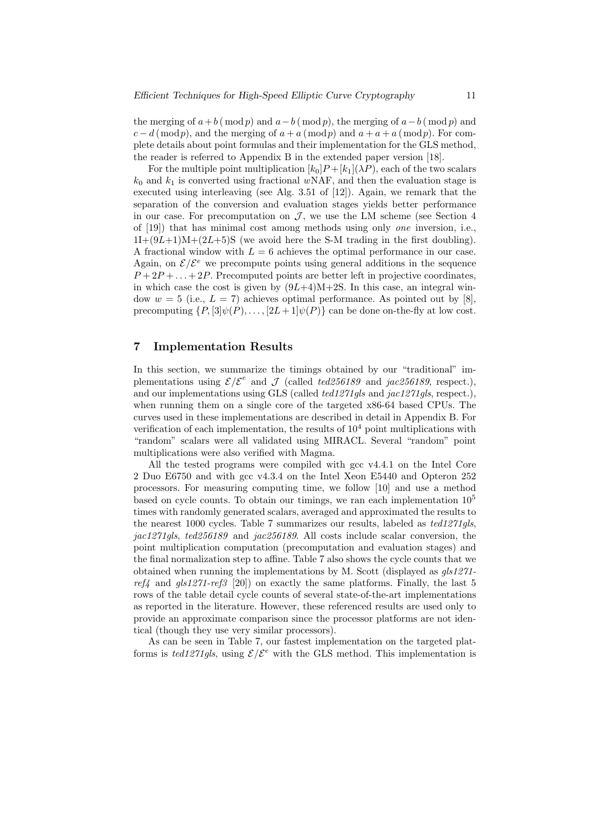the merging of  $a+b \pmod{p}$  and  $a-b \pmod{p}$ , the merging of  $a-b \pmod{p}$  and  $c - d \pmod{p}$ , and the merging of  $a + a \pmod{p}$  and  $a + a + a \pmod{p}$ . For complete details about point formulas and their implementation for the GLS method, the reader is referred to Appendix B in the extended paper version [18].

For the multiple point multiplication  $[k_0]P + [k_1](\lambda P)$ , each of the two scalars  $k_0$  and  $k_1$  is converted using fractional wNAF, and then the evaluation stage is executed using interleaving (see Alg. 3.51 of [12]). Again, we remark that the separation of the conversion and evaluation stages yields better performance in our case. For precomputation on  $\mathcal{J}$ , we use the LM scheme (see Section 4 of [19]) that has minimal cost among methods using only one inversion, i.e.,  $1I+(9L+1)M+(2L+5)S$  (we avoid here the S-M trading in the first doubling). A fractional window with  $L = 6$  achieves the optimal performance in our case. Again, on  $\mathcal{E}/\mathcal{E}^e$  we precompute points using general additions in the sequence  $P+2P+\ldots+2P$ . Precomputed points are better left in projective coordinates, in which case the cost is given by  $(9L+4)M+2S$ . In this case, an integral window  $w = 5$  (i.e.,  $L = 7$ ) achieves optimal performance. As pointed out by [8], precomputing  $\{P, \left[\substack{3 \mid \psi(P), \ldots, \left[\substack{2L+1 \mid \psi(P)\right.\}}\right]$  can be done on-the-fly at low cost.

# 7 Implementation Results

In this section, we summarize the timings obtained by our "traditional" implementations using  $\mathcal{E}/\mathcal{E}^e$  and  $\mathcal J$  (called ted 256189 and jac 256189, respect.), and our implementations using GLS (called ted1271gls and jac1271gls, respect.), when running them on a single core of the targeted x86-64 based CPUs. The curves used in these implementations are described in detail in Appendix B. For verification of each implementation, the results of  $10<sup>4</sup>$  point multiplications with "random" scalars were all validated using MIRACL. Several "random" point multiplications were also verified with Magma.

All the tested programs were compiled with gcc v4.4.1 on the Intel Core 2 Duo E6750 and with gcc v4.3.4 on the Intel Xeon E5440 and Opteron 252 processors. For measuring computing time, we follow [10] and use a method based on cycle counts. To obtain our timings, we ran each implementation  $10^5$ times with randomly generated scalars, averaged and approximated the results to the nearest 1000 cycles. Table 7 summarizes our results, labeled as ted1271gls, jac1271gls, ted256189 and jac256189. All costs include scalar conversion, the point multiplication computation (precomputation and evaluation stages) and the final normalization step to affine. Table 7 also shows the cycle counts that we obtained when running the implementations by M. Scott (displayed as  $qls1271$ ref<sub>4</sub> and  $qls1271-ref3$  [20]) on exactly the same platforms. Finally, the last 5 rows of the table detail cycle counts of several state-of-the-art implementations as reported in the literature. However, these referenced results are used only to provide an approximate comparison since the processor platforms are not identical (though they use very similar processors).

As can be seen in Table 7, our fastest implementation on the targeted platforms is ted1271gls, using  $\mathcal{E}/\mathcal{E}^e$  with the GLS method. This implementation is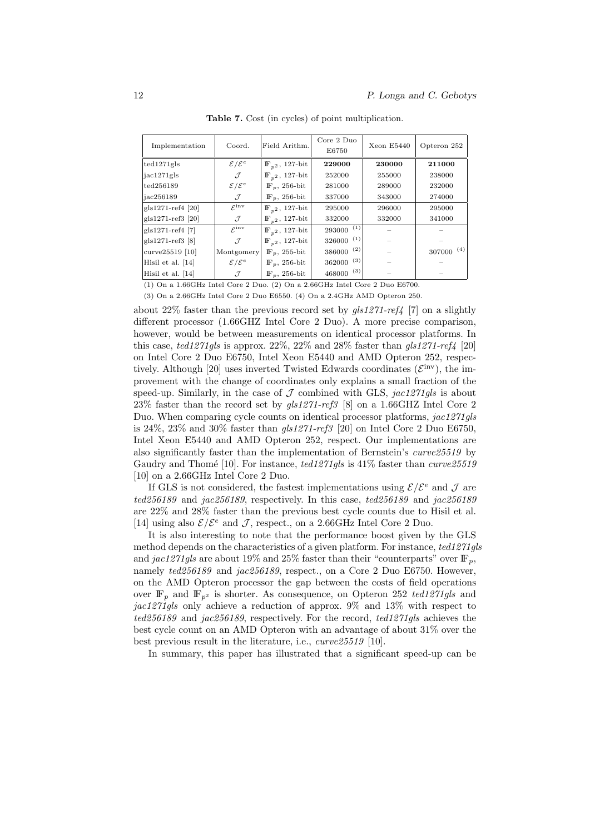| Implementation    | Coord.                      | Field Arithm.                | Core 2 Duo<br>E6750 | Xeon E5440 | Opteron 252   |
|-------------------|-----------------------------|------------------------------|---------------------|------------|---------------|
| ted1271gls        | $\mathcal{E}/\mathcal{E}^e$ | $\mathbb{F}_{n^2}$ , 127-bit | 229000              | 230000     | 211000        |
| jac1271gls        | J                           | $\mathbb{F}_{n^2}$ , 127-bit | 252000              | 255000     | 238000        |
| ted256189         | $\mathcal{E}/\mathcal{E}^e$ | $\mathbb{F}_n$ , 256-bit     | 281000              | 289000     | 232000        |
| iac256189         | J                           | $\mathbb{F}_n$ , 256-bit     | 337000              | 343000     | 274000        |
| gls1271-ref4 [20] | $\mathcal{E}^{\text{inv}}$  | $\mathbb{F}_{n^2}$ , 127-bit | 295000              | 296000     | 295000        |
| gls1271-ref3 [20] | J                           | $\mathbb{F}_{n^2}$ , 127-bit | 332000              | 332000     | 341000        |
| gls1271-ref4 [7]  | $\mathcal{L}^{\text{inv}}$  | $\mathbb{F}_{n^2}$ , 127-bit | $293000^{(1)}$      |            |               |
| gls1271-ref3 [8]  | $\mathcal{J}_{\mathcal{L}}$ | $\mathbb{F}_{p^2}$ , 127-bit | (1)<br>326000       |            |               |
| $curve25519$ [10] | Montgomery                  | $\mathbb{F}_p$ , 255-bit     | (2)<br>386000       |            | (4)<br>307000 |
| Hisil et al. [14] | $\mathcal{E}/\mathcal{E}^e$ | $\mathbb{F}_p$ , 256-bit     | (3)<br>362000       |            |               |
| Hisil et al. [14] | $\mathcal{J}$               | $\mathbb{F}_p$ , 256-bit     | (3)<br>468000       |            |               |

Table 7. Cost (in cycles) of point multiplication.

(1) On a 1.66GHz Intel Core 2 Duo. (2) On a 2.66GHz Intel Core 2 Duo E6700. (3) On a 2.66GHz Intel Core 2 Duo E6550. (4) On a 2.4GHz AMD Opteron 250.

about 22% faster than the previous record set by  $gls1271-ref4$  [7] on a slightly different processor (1.66GHZ Intel Core 2 Duo). A more precise comparison, however, would be between measurements on identical processor platforms. In this case, ted1271gls is approx.  $22\%$ ,  $22\%$  and  $28\%$  faster than gls1271-ref4 [20] on Intel Core 2 Duo E6750, Intel Xeon E5440 and AMD Opteron 252, respectively. Although [20] uses inverted Twisted Edwards coordinates  $({\mathcal E}^{\text{inv}})$ , the improvement with the change of coordinates only explains a small fraction of the speed-up. Similarly, in the case of  $\mathcal J$  combined with GLS, jac1271qls is about 23% faster than the record set by  $gls1271-ref3$  [8] on a 1.66GHZ Intel Core 2 Duo. When comparing cycle counts on identical processor platforms, jac1271qls is 24%, 23% and 30% faster than  $qls1271-ref3$  [20] on Intel Core 2 Duo E6750, Intel Xeon E5440 and AMD Opteron 252, respect. Our implementations are also significantly faster than the implementation of Bernstein's curve25519 by Gaudry and Thomé [10]. For instance,  $ted1271qls$  is 41% faster than curve 25519 [10] on a 2.66GHz Intel Core 2 Duo.

If GLS is not considered, the fastest implementations using  $\mathcal{E}/\mathcal{E}^e$  and  $\mathcal{J}$  are ted256189 and jac256189, respectively. In this case, ted256189 and jac256189 are 22% and 28% faster than the previous best cycle counts due to Hisil et al. [14] using also  $\mathcal{E}/\mathcal{E}^e$  and  $\mathcal{J}$ , respect., on a 2.66GHz Intel Core 2 Duo.

It is also interesting to note that the performance boost given by the GLS method depends on the characteristics of a given platform. For instance, ted1271gls and jac1271gls are about 19% and 25% faster than their "counterparts" over  $\mathbb{F}_p$ , namely ted256189 and jac256189, respect., on a Core 2 Duo E6750. However, on the AMD Opteron processor the gap between the costs of field operations over  $\mathbb{F}_p$  and  $\mathbb{F}_{p^2}$  is shorter. As consequence, on Opteron 252 ted1271gls and jac1271gls only achieve a reduction of approx.  $9\%$  and  $13\%$  with respect to ted256189 and jac256189, respectively. For the record, ted1271gls achieves the best cycle count on an AMD Opteron with an advantage of about 31% over the best previous result in the literature, i.e., curve25519 [10].

In summary, this paper has illustrated that a significant speed-up can be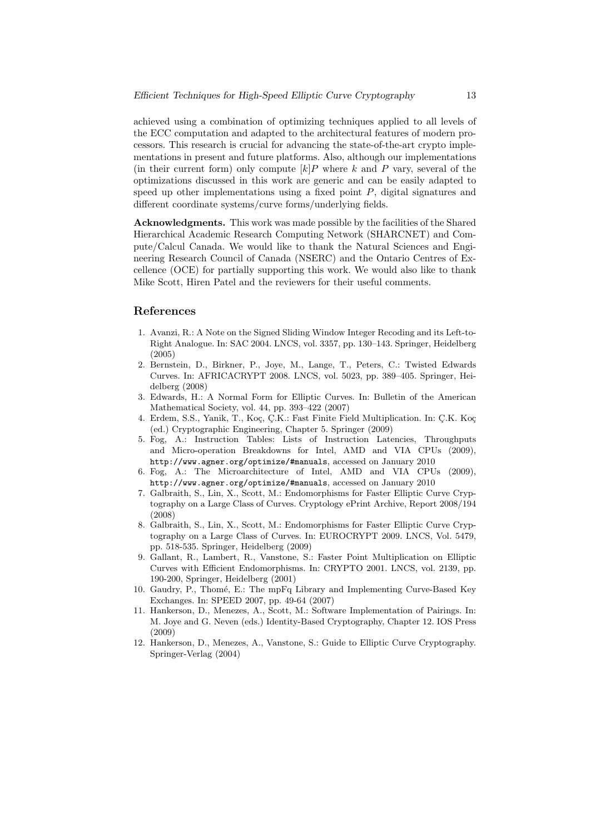achieved using a combination of optimizing techniques applied to all levels of the ECC computation and adapted to the architectural features of modern processors. This research is crucial for advancing the state-of-the-art crypto implementations in present and future platforms. Also, although our implementations (in their current form) only compute  $[k]P$  where k and P vary, several of the optimizations discussed in this work are generic and can be easily adapted to speed up other implementations using a fixed point  $P$ , digital signatures and different coordinate systems/curve forms/underlying fields.

Acknowledgments. This work was made possible by the facilities of the Shared Hierarchical Academic Research Computing Network (SHARCNET) and Compute/Calcul Canada. We would like to thank the Natural Sciences and Engineering Research Council of Canada (NSERC) and the Ontario Centres of Excellence (OCE) for partially supporting this work. We would also like to thank Mike Scott, Hiren Patel and the reviewers for their useful comments.

# References

- 1. Avanzi, R.: A Note on the Signed Sliding Window Integer Recoding and its Left-to-Right Analogue. In: SAC 2004. LNCS, vol. 3357, pp. 130–143. Springer, Heidelberg (2005)
- 2. Bernstein, D., Birkner, P., Joye, M., Lange, T., Peters, C.: Twisted Edwards Curves. In: AFRICACRYPT 2008. LNCS, vol. 5023, pp. 389–405. Springer, Heidelberg (2008)
- 3. Edwards, H.: A Normal Form for Elliptic Curves. In: Bulletin of the American Mathematical Society, vol. 44, pp. 393–422 (2007)
- 4. Erdem, S.S., Yanik, T., Koç, Ç.K.: Fast Finite Field Multiplication. In: C.K. Koç (ed.) Cryptographic Engineering, Chapter 5. Springer (2009)
- 5. Fog, A.: Instruction Tables: Lists of Instruction Latencies, Throughputs and Micro-operation Breakdowns for Intel, AMD and VIA CPUs (2009), http://www.agner.org/optimize/#manuals, accessed on January 2010
- 6. Fog, A.: The Microarchitecture of Intel, AMD and VIA CPUs (2009), http://www.agner.org/optimize/#manuals, accessed on January 2010
- 7. Galbraith, S., Lin, X., Scott, M.: Endomorphisms for Faster Elliptic Curve Cryptography on a Large Class of Curves. Cryptology ePrint Archive, Report 2008/194 (2008)
- 8. Galbraith, S., Lin, X., Scott, M.: Endomorphisms for Faster Elliptic Curve Cryptography on a Large Class of Curves. In: EUROCRYPT 2009. LNCS, Vol. 5479, pp. 518-535. Springer, Heidelberg (2009)
- 9. Gallant, R., Lambert, R., Vanstone, S.: Faster Point Multiplication on Elliptic Curves with Efficient Endomorphisms. In: CRYPTO 2001. LNCS, vol. 2139, pp. 190-200, Springer, Heidelberg (2001)
- 10. Gaudry, P., Thomé, E.: The mpFq Library and Implementing Curve-Based Key Exchanges. In: SPEED 2007, pp. 49-64 (2007)
- 11. Hankerson, D., Menezes, A., Scott, M.: Software Implementation of Pairings. In: M. Joye and G. Neven (eds.) Identity-Based Cryptography, Chapter 12. IOS Press (2009)
- 12. Hankerson, D., Menezes, A., Vanstone, S.: Guide to Elliptic Curve Cryptography. Springer-Verlag (2004)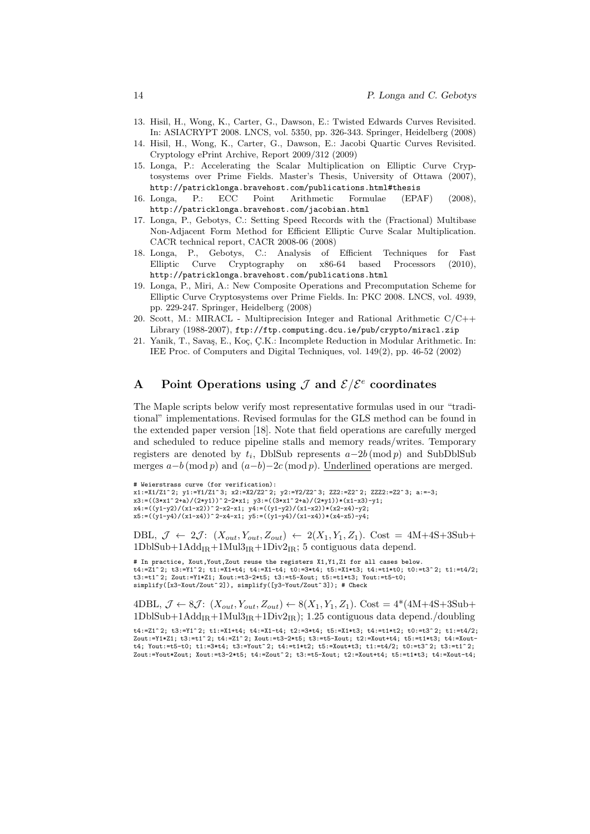- 13. Hisil, H., Wong, K., Carter, G., Dawson, E.: Twisted Edwards Curves Revisited. In: ASIACRYPT 2008. LNCS, vol. 5350, pp. 326-343. Springer, Heidelberg (2008)
- 14. Hisil, H., Wong, K., Carter, G., Dawson, E.: Jacobi Quartic Curves Revisited. Cryptology ePrint Archive, Report 2009/312 (2009)
- 15. Longa, P.: Accelerating the Scalar Multiplication on Elliptic Curve Cryptosystems over Prime Fields. Master's Thesis, University of Ottawa (2007), http://patricklonga.bravehost.com/publications.html#thesis
- 16. Longa, P.: ECC Point Arithmetic Formulae (EPAF) (2008), http://patricklonga.bravehost.com/jacobian.html
- 17. Longa, P., Gebotys, C.: Setting Speed Records with the (Fractional) Multibase Non-Adjacent Form Method for Efficient Elliptic Curve Scalar Multiplication. CACR technical report, CACR 2008-06 (2008)
- 18. Longa, P., Gebotys, C.: Analysis of Efficient Techniques for Fast Elliptic Curve Cryptography on x86-64 based Processors (2010), http://patricklonga.bravehost.com/publications.html
- 19. Longa, P., Miri, A.: New Composite Operations and Precomputation Scheme for Elliptic Curve Cryptosystems over Prime Fields. In: PKC 2008. LNCS, vol. 4939, pp. 229-247. Springer, Heidelberg (2008)
- 20. Scott, M.: MIRACL Multiprecision Integer and Rational Arithmetic C/C++ Library (1988-2007), ftp://ftp.computing.dcu.ie/pub/crypto/miracl.zip
- 21. Yanik, T., Savaş, E., Koç, Ç.K.: Incomplete Reduction in Modular Arithmetic. In: IEE Proc. of Computers and Digital Techniques, vol. 149(2), pp. 46-52 (2002)

# A Point Operations using  $\mathcal J$  and  $\mathcal E/\mathcal E^e$  coordinates

The Maple scripts below verify most representative formulas used in our "traditional" implementations. Revised formulas for the GLS method can be found in the extended paper version [18]. Note that field operations are carefully merged and scheduled to reduce pipeline stalls and memory reads/writes. Temporary registers are denoted by  $t_i$ , DblSub represents  $a-2b \pmod{p}$  and SubDblSub merges  $a-b \pmod{p}$  and  $(a-b)-2c \pmod{p}$ . Underlined operations are merged.

```
# Weierstrass curve (for verification):
x1:=X1/Z1^ 2; y1:=Y1/Z1^ 3; x2:=X2/Z2^ 2; y2:=Y2/Z2^ 3; ZZ2:=Z2^ 2; ZZZ2:=Z2^ 3; a:=-3;
x3:=((3*x1^2+a)/(2*y1))^2-2*x1; y3:=((3*x1^2+a)/(2*y1))*(x1-x3)-y1;x4:=((y1-y2)/(x1-x2))^2-x2-x1; y4:=((y1-y2)/(x1-x2))*(x2-x4)-y2);
x5:=((y1-y4)/(x1-x4))^2-x4-x1; y5:=((y1-y4)/(x1-x4)*(x4-x5)-y4;
```
DBL,  $\mathcal{J} \leftarrow 2\mathcal{J}$ :  $(X_{out}, Y_{out}, Z_{out}) \leftarrow 2(X_1, Y_1, Z_1)$ . Cost = 4M+4S+3Sub+  $1DbSub+1Add_{IR}+1Mul3_{IR}+1Div2_{IR};$  5 contiguous data depend.

# In practice, Xout,Yout,Zout reuse the registers X1,Y1,Z1 for all cases below.  $t4:=Z_1^2$  2;  $t3:=Y1^2$ ;  $t1:=X1+t4$ ;  $t4:=X1-t4$ ;  $t0:=3*t4$ ;  $t5:=X1*t3$ ;  $t4:=t1*t0$ ;  $t0:=t3^2$ ;  $t1:=t4/2$ ; t3:=t1^ 2; Zout:=Y1\*Z1; Xout:=t3-2\*t5; t3:=t5-Xout; t5:=t1\*t3; Yout:=t5-t0; simplify([x3-Xout/Zout^2]), simplify([y3-Yout/Zout^3]); # Check

4DBL,  $\mathcal{J} \leftarrow 8\mathcal{J}$ :  $(X_{out}, Y_{out}, Z_{out}) \leftarrow 8(X_1, Y_1, Z_1)$ . Cost = 4\*(4M+4S+3Sub+  $1DbISub+1Add_{IR}+1Mul3_{IR}+1Div2_{IR}$ ; 1.25 contiguous data depend./doubling

t4:=Z1^ 2; t3:=Y1^ 2; t1:=X1+t4; t4:=X1-t4; t2:=3\*t4; t5:=X1\*t3; t4:=t1\*t2; t0:=t3^ 2; t1:=t4/2; Zout:=Y1\*Z1; t3:=t1^ 2; t4:=Z1^ 2; Xout:=t3-2\*t5; t3:=t5-Xout; t2:=Xout+t4; t5:=t1\*t3; t4:=Xoutt4; Yout:=t5-t0; t1:=3\*t4; t3:=Yout^ 2; t4:=t1\*t2; t5:=Xout\*t3; t1:=t4/2; t0:=t3^ 2; t3:=t1^ 2;  $Z$ out:=Yout\*Zout: Xout:=t3-2\*t5; t4:=Zout^ 2; t3:=t5-Xout; t2:=Xout+t4; t5:=t1\*t3; t4:=Xout-t4;